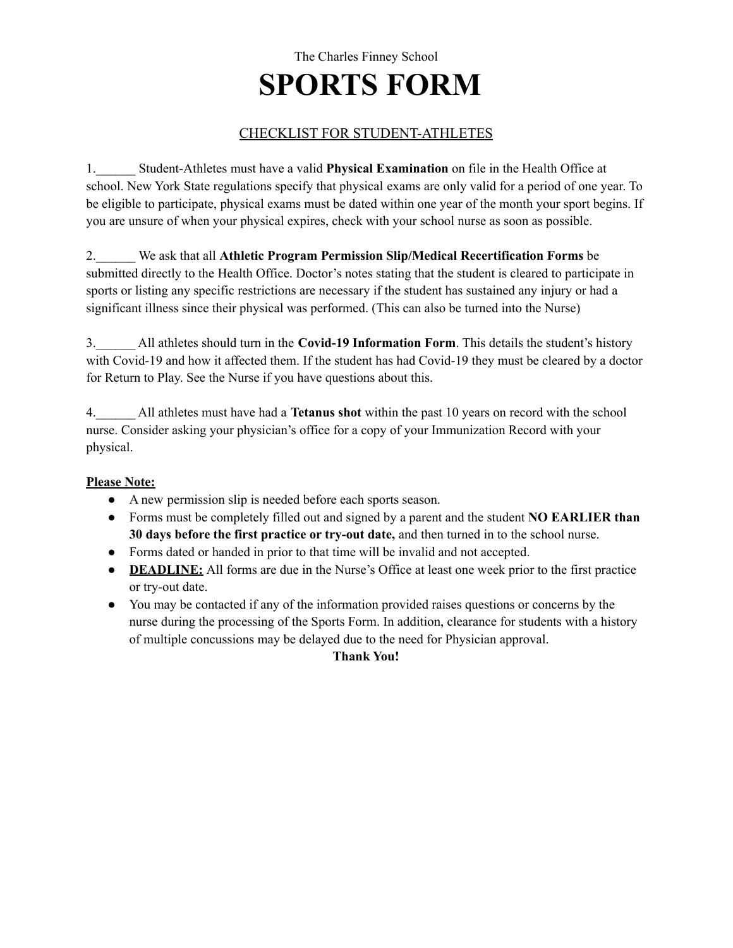# The Charles Finney School **SPORTS FORM**

### CHECKLIST FOR STUDENT-ATHLETES

1.\_\_\_\_\_\_ Student-Athletes must have a valid **Physical Examination** on file in the Health Office at school. New York State regulations specify that physical exams are only valid for a period of one year. To be eligible to participate, physical exams must be dated within one year of the month your sport begins. If you are unsure of when your physical expires, check with your school nurse as soon as possible.

2.\_\_\_\_\_\_ We ask that all **Athletic Program Permission Slip/Medical Recertification Forms** be submitted directly to the Health Office. Doctor's notes stating that the student is cleared to participate in sports or listing any specific restrictions are necessary if the student has sustained any injury or had a significant illness since their physical was performed. (This can also be turned into the Nurse)

3.\_\_\_\_\_\_ All athletes should turn in the **Covid-19 Information Form**. This details the student's history with Covid-19 and how it affected them. If the student has had Covid-19 they must be cleared by a doctor for Return to Play. See the Nurse if you have questions about this.

4.\_\_\_\_\_\_ All athletes must have had a **Tetanus shot** within the past 10 years on record with the school nurse. Consider asking your physician's office for a copy of your Immunization Record with your physical.

#### **Please Note:**

- A new permission slip is needed before each sports season.
- Forms must be completely filled out and signed by a parent and the student **NO EARLIER than 30 days before the first practice or try-out date,** and then turned in to the school nurse.
- Forms dated or handed in prior to that time will be invalid and not accepted.
- **● DEADLINE:** All forms are due in the Nurse's Office at least one week prior to the first practice or try-out date.
- You may be contacted if any of the information provided raises questions or concerns by the nurse during the processing of the Sports Form. In addition, clearance for students with a history of multiple concussions may be delayed due to the need for Physician approval.

#### **Thank You!**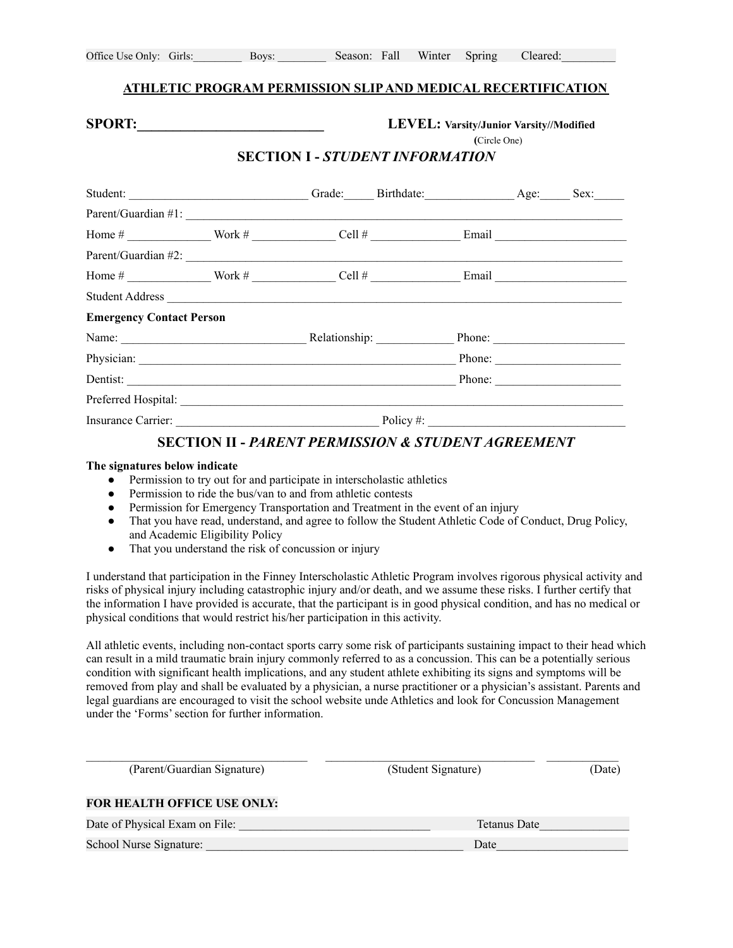#### **ATHLETIC PROGRAM PERMISSION SLIPAND MEDICAL RECERTIFICATION**

#### **SPORT:\_\_\_\_\_\_\_\_\_\_\_\_\_\_\_\_\_\_\_\_\_\_\_\_\_\_ LEVEL: Varsity/Junior Varsity//Modified**

**(**Circle One)

#### **SECTION I -** *STUDENT INFORMATION*

| <b>Emergency Contact Person</b>     |  |  |        |
|-------------------------------------|--|--|--------|
| Name: Relationship: Phone: Phone:   |  |  |        |
|                                     |  |  |        |
|                                     |  |  | Phone: |
|                                     |  |  |        |
| <b>Insurance Carrier:</b> Policy #: |  |  |        |

#### **SECTION II -** *PARENT PERMISSION & STUDENT AGREEMENT*

#### **The signatures below indicate**

- Permission to try out for and participate in interscholastic athletics
- Permission to ride the bus/van to and from athletic contests
- Permission for Emergency Transportation and Treatment in the event of an injury
- That you have read, understand, and agree to follow the Student Athletic Code of Conduct, Drug Policy, and Academic Eligibility Policy
- That you understand the risk of concussion or injury

I understand that participation in the Finney Interscholastic Athletic Program involves rigorous physical activity and risks of physical injury including catastrophic injury and/or death, and we assume these risks. I further certify that the information I have provided is accurate, that the participant is in good physical condition, and has no medical or physical conditions that would restrict his/her participation in this activity.

All athletic events, including non-contact sports carry some risk of participants sustaining impact to their head which can result in a mild traumatic brain injury commonly referred to as a concussion. This can be a potentially serious condition with significant health implications, and any student athlete exhibiting its signs and symptoms will be removed from play and shall be evaluated by a physician, a nurse practitioner or a physician's assistant. Parents and legal guardians are encouraged to visit the school website unde Athletics and look for Concussion Management under the 'Forms'section for further information.

| (Parent/Guardian Signature)        | (Student Signature) | (Date) |  |
|------------------------------------|---------------------|--------|--|
| <b>FOR HEALTH OFFICE USE ONLY:</b> |                     |        |  |
| Date of Physical Exam on File:     | Tetanus Date        |        |  |
| School Nurse Signature:            | Date                |        |  |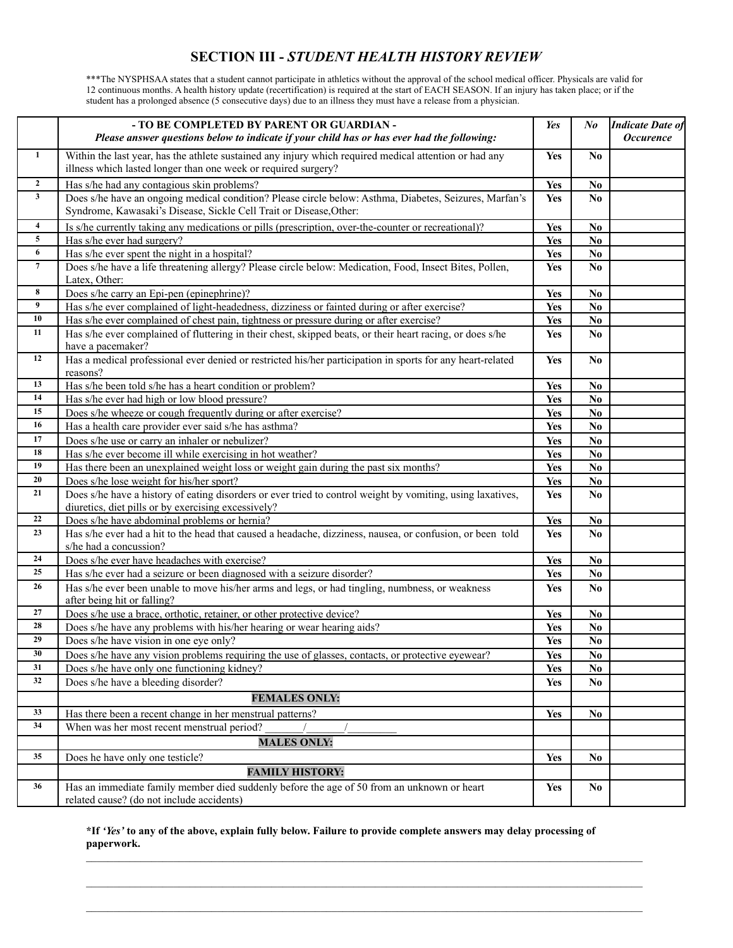#### **SECTION III -** *STUDENT HEALTH HISTORY REVIEW*

\*\*\*The NYSPHSAA states that a student cannot participate in athletics without the approval of the school medical officer. Physicals are valid for 12 continuous months. A health history update (recertification) is required at the start of EACH SEASON. If an injury has taken place; or if the student has a prolonged absence (5 consecutive days) due to an illness they must have a release from a physician.

|                              | - TO BE COMPLETED BY PARENT OR GUARDIAN -<br>Please answer questions below to indicate if your child has or has ever had the following:                                      | Yes        | $N_{0}$                | <b>Indicate Date of</b><br><b>Occurence</b> |
|------------------------------|------------------------------------------------------------------------------------------------------------------------------------------------------------------------------|------------|------------------------|---------------------------------------------|
| $\mathbf{1}$                 | Within the last year, has the athlete sustained any injury which required medical attention or had any                                                                       | Yes        | No                     |                                             |
|                              | illness which lasted longer than one week or required surgery?                                                                                                               |            |                        |                                             |
| $\mathbf{2}$<br>$\mathbf{3}$ | Has s/he had any contagious skin problems?                                                                                                                                   | Yes        | N <sub>0</sub>         |                                             |
|                              | Does s/he have an ongoing medical condition? Please circle below: Asthma, Diabetes, Seizures, Marfan's<br>Syndrome, Kawasaki's Disease, Sickle Cell Trait or Disease, Other: | Yes        | No                     |                                             |
| $\overline{\mathbf{4}}$      | Is s/he currently taking any medications or pills (prescription, over-the-counter or recreational)?                                                                          | <b>Yes</b> | N <sub>0</sub>         |                                             |
| 5                            | Has s/he ever had surgery?                                                                                                                                                   | <b>Yes</b> | N <sub>0</sub>         |                                             |
| 6                            | Has s/he ever spent the night in a hospital?                                                                                                                                 | <b>Yes</b> | $\mathbf{N}\mathbf{o}$ |                                             |
| $7\phantom{.0}$              | Does s/he have a life threatening allergy? Please circle below: Medication, Food, Insect Bites, Pollen,<br>Latex, Other:                                                     | Yes        | No                     |                                             |
| 8                            | Does s/he carry an Epi-pen (epinephrine)?                                                                                                                                    | <b>Yes</b> | $\mathbf{N}\mathbf{o}$ |                                             |
| 9                            | Has s/he ever complained of light-headedness, dizziness or fainted during or after exercise?                                                                                 | Yes        | N <sub>0</sub>         |                                             |
| 10                           | Has s/he ever complained of chest pain, tightness or pressure during or after exercise?                                                                                      | <b>Yes</b> | $\mathbf{N}\mathbf{o}$ |                                             |
| 11                           | Has s/he ever complained of fluttering in their chest, skipped beats, or their heart racing, or does s/he<br>have a pacemaker?                                               | <b>Yes</b> | N <sub>0</sub>         |                                             |
| 12                           | Has a medical professional ever denied or restricted his/her participation in sports for any heart-related<br>reasons?                                                       | Yes        | N <sub>0</sub>         |                                             |
| 13                           | Has s/he been told s/he has a heart condition or problem?                                                                                                                    | <b>Yes</b> | No                     |                                             |
| 14                           | Has s/he ever had high or low blood pressure?                                                                                                                                | <b>Yes</b> | $\mathbf{N}\mathbf{o}$ |                                             |
| 15                           | Does s/he wheeze or cough frequently during or after exercise?                                                                                                               | <b>Yes</b> | $\mathbf{N}\mathbf{o}$ |                                             |
| 16                           | Has a health care provider ever said s/he has asthma?                                                                                                                        | <b>Yes</b> | $\mathbf{N}\mathbf{0}$ |                                             |
| 17                           | Does s/he use or carry an inhaler or nebulizer?                                                                                                                              | <b>Yes</b> | $\mathbf{N}\mathbf{o}$ |                                             |
| 18                           | Has s/he ever become ill while exercising in hot weather?                                                                                                                    | <b>Yes</b> | $\mathbf{N}\mathbf{o}$ |                                             |
| 19                           | Has there been an unexplained weight loss or weight gain during the past six months?                                                                                         | <b>Yes</b> | $\mathbf{N}\mathbf{o}$ |                                             |
| 20                           | Does s/he lose weight for his/her sport?                                                                                                                                     | <b>Yes</b> | No.                    |                                             |
| 21                           | Does s/he have a history of eating disorders or ever tried to control weight by vomiting, using laxatives,<br>diuretics, diet pills or by exercising excessively?            | Yes        | N <sub>0</sub>         |                                             |
| 22                           | Does s/he have abdominal problems or hernia?                                                                                                                                 | Yes        | No.                    |                                             |
| 23                           | Has s/he ever had a hit to the head that caused a headache, dizziness, nausea, or confusion, or been told<br>s/he had a concussion?                                          | Yes        | N <sub>0</sub>         |                                             |
| 24                           | Does s/he ever have headaches with exercise?                                                                                                                                 | <b>Yes</b> | No.                    |                                             |
| 25                           | Has s/he ever had a seizure or been diagnosed with a seizure disorder?                                                                                                       | Yes        | $\mathbf{N}\mathbf{o}$ |                                             |
| 26                           | Has s/he ever been unable to move his/her arms and legs, or had tingling, numbness, or weakness<br>after being hit or falling?                                               | Yes        | No                     |                                             |
| 27                           | Does s/he use a brace, orthotic, retainer, or other protective device?                                                                                                       | <b>Yes</b> | No.                    |                                             |
| 28                           | Does s/he have any problems with his/her hearing or wear hearing aids?                                                                                                       | <b>Yes</b> | $\mathbf{N}\mathbf{o}$ |                                             |
| 29                           | Does s/he have vision in one eye only?                                                                                                                                       | <b>Yes</b> | $\mathbf{N}\mathbf{o}$ |                                             |
| 30                           | Does s/he have any vision problems requiring the use of glasses, contacts, or protective eyewear?                                                                            | Yes        | No                     |                                             |
| 31                           | Does s/he have only one functioning kidney?                                                                                                                                  | <b>Yes</b> | $\mathbf{N}\mathbf{o}$ |                                             |
| 32                           | Does s/he have a bleeding disorder?                                                                                                                                          | <b>Yes</b> | No.                    |                                             |
|                              | <b>FEMALES ONLY:</b>                                                                                                                                                         |            |                        |                                             |
| 33                           | Has there been a recent change in her menstrual patterns?                                                                                                                    | <b>Yes</b> | N <sub>0</sub>         |                                             |
| 34                           | When was her most recent menstrual period?                                                                                                                                   |            |                        |                                             |
|                              | <b>MALES ONLY:</b>                                                                                                                                                           |            |                        |                                             |
| 35                           | Does he have only one testicle?                                                                                                                                              | <b>Yes</b> | No.                    |                                             |
|                              | <b>FAMILY HISTORY:</b>                                                                                                                                                       |            |                        |                                             |
| 36                           | Has an immediate family member died suddenly before the age of 50 from an unknown or heart<br>related cause? (do not include accidents)                                      | <b>Yes</b> | N <sub>0</sub>         |                                             |

#### \*If 'Yes' to any of the above, explain fully below. Failure to provide complete answers may delay processing of **paperwork.**